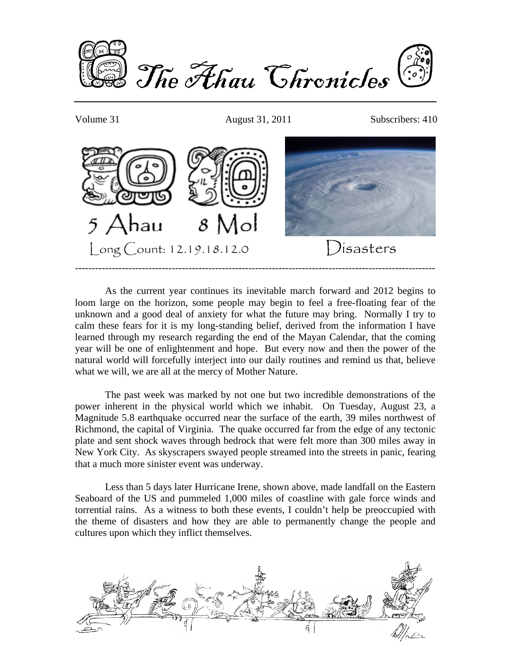

Volume 31 August 31, 2011 Subscribers: 410



 As the current year continues its inevitable march forward and 2012 begins to loom large on the horizon, some people may begin to feel a free-floating fear of the unknown and a good deal of anxiety for what the future may bring. Normally I try to calm these fears for it is my long-standing belief, derived from the information I have learned through my research regarding the end of the Mayan Calendar, that the coming year will be one of enlightenment and hope. But every now and then the power of the natural world will forcefully interject into our daily routines and remind us that, believe what we will, we are all at the mercy of Mother Nature.

 The past week was marked by not one but two incredible demonstrations of the power inherent in the physical world which we inhabit. On Tuesday, August 23, a Magnitude 5.8 earthquake occurred near the surface of the earth, 39 miles northwest of Richmond, the capital of Virginia. The quake occurred far from the edge of any tectonic plate and sent shock waves through bedrock that were felt more than 300 miles away in New York City. As skyscrapers swayed people streamed into the streets in panic, fearing that a much more sinister event was underway.

 Less than 5 days later Hurricane Irene, shown above, made landfall on the Eastern Seaboard of the US and pummeled 1,000 miles of coastline with gale force winds and torrential rains. As a witness to both these events, I couldn't help be preoccupied with the theme of disasters and how they are able to permanently change the people and cultures upon which they inflict themselves.

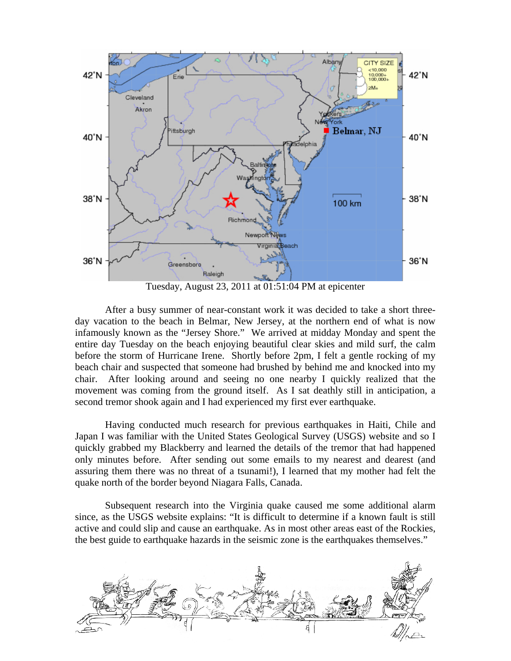

Tuesday, August 23, 2011 at 01:51:04 PM at epicenter

 After a busy summer of near-constant work it was decided to take a short threeday vacation to the beach in Belmar, New Jersey, at the northern end of what is now infamously known as the "Jersey Shore." We arrived at midday Monday and spent the entire day Tuesday on the beach enjoying beautiful clear skies and mild surf, the calm before the storm of Hurricane Irene. Shortly before 2pm, I felt a gentle rocking of my beach chair and suspected that someone had brushed by behind me and knocked into my chair. After looking around and seeing no one nearby I quickly realized that the movement was coming from the ground itself. As I sat deathly still in anticipation, a second tremor shook again and I had experienced my first ever earthquake.

 Having conducted much research for previous earthquakes in Haiti, Chile and Japan I was familiar with the United States Geological Survey (USGS) website and so I quickly grabbed my Blackberry and learned the details of the tremor that had happened only minutes before. After sending out some emails to my nearest and dearest (and assuring them there was no threat of a tsunami!), I learned that my mother had felt the quake north of the border beyond Niagara Falls, Canada.

 Subsequent research into the Virginia quake caused me some additional alarm since, as the USGS website explains: "It is difficult to determine if a known fault is still active and could slip and cause an earthquake. As in most other areas east of the Rockies, the best guide to earthquake hazards in the seismic zone is the earthquakes themselves."

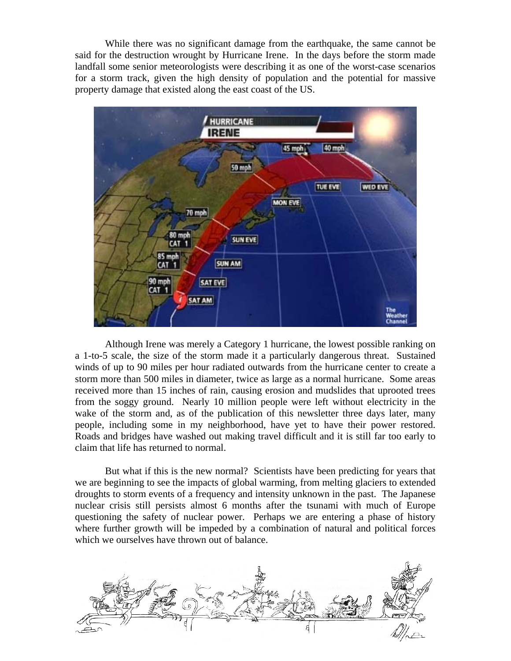While there was no significant damage from the earthquake, the same cannot be said for the destruction wrought by Hurricane Irene. In the days before the storm made landfall some senior meteorologists were describing it as one of the worst-case scenarios for a storm track, given the high density of population and the potential for massive property damage that existed along the east coast of the US.



 Although Irene was merely a Category 1 hurricane, the lowest possible ranking on a 1-to-5 scale, the size of the storm made it a particularly dangerous threat. Sustained winds of up to 90 miles per hour radiated outwards from the hurricane center to create a storm more than 500 miles in diameter, twice as large as a normal hurricane. Some areas received more than 15 inches of rain, causing erosion and mudslides that uprooted trees from the soggy ground. Nearly 10 million people were left without electricity in the wake of the storm and, as of the publication of this newsletter three days later, many people, including some in my neighborhood, have yet to have their power restored. Roads and bridges have washed out making travel difficult and it is still far too early to claim that life has returned to normal.

 But what if this is the new normal? Scientists have been predicting for years that we are beginning to see the impacts of global warming, from melting glaciers to extended droughts to storm events of a frequency and intensity unknown in the past. The Japanese nuclear crisis still persists almost 6 months after the tsunami with much of Europe questioning the safety of nuclear power. Perhaps we are entering a phase of history where further growth will be impeded by a combination of natural and political forces which we ourselves have thrown out of balance.

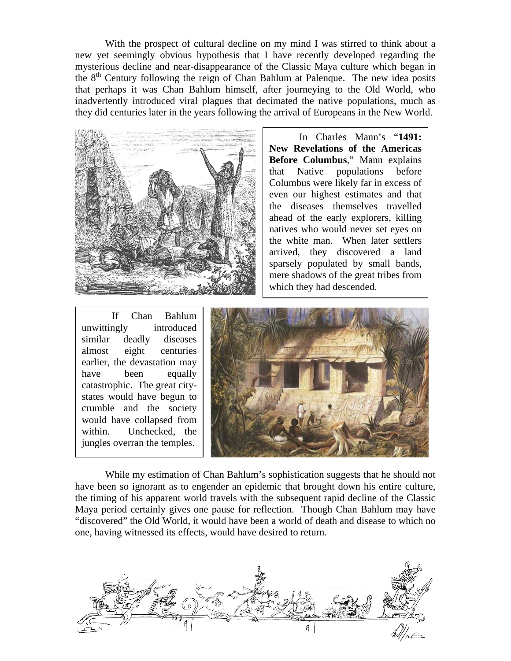With the prospect of cultural decline on my mind I was stirred to think about a new yet seemingly obvious hypothesis that I have recently developed regarding the mysterious decline and near-disappearance of the Classic Maya culture which began in the  $8<sup>th</sup>$  Century following the reign of Chan Bahlum at Palenque. The new idea posits that perhaps it was Chan Bahlum himself, after journeying to the Old World, who inadvertently introduced viral plagues that decimated the native populations, much as they did centuries later in the years following the arrival of Europeans in the New World.



 In Charles Mann's "**1491: New Revelations of the Americas Before Columbus**," Mann explains that Native populations before Columbus were likely far in excess of even our highest estimates and that the diseases themselves travelled ahead of the early explorers, killing natives who would never set eyes on the white man. When later settlers arrived, they discovered a land sparsely populated by small bands, mere shadows of the great tribes from which they had descended.

 If Chan Bahlum unwittingly introduced similar deadly diseases almost eight centuries earlier, the devastation may have been equally catastrophic. The great citystates would have begun to crumble and the society would have collapsed from within. Unchecked, the jungles overran the temples.



 While my estimation of Chan Bahlum's sophistication suggests that he should not have been so ignorant as to engender an epidemic that brought down his entire culture, the timing of his apparent world travels with the subsequent rapid decline of the Classic Maya period certainly gives one pause for reflection. Though Chan Bahlum may have "discovered" the Old World, it would have been a world of death and disease to which no one, having witnessed its effects, would have desired to return.